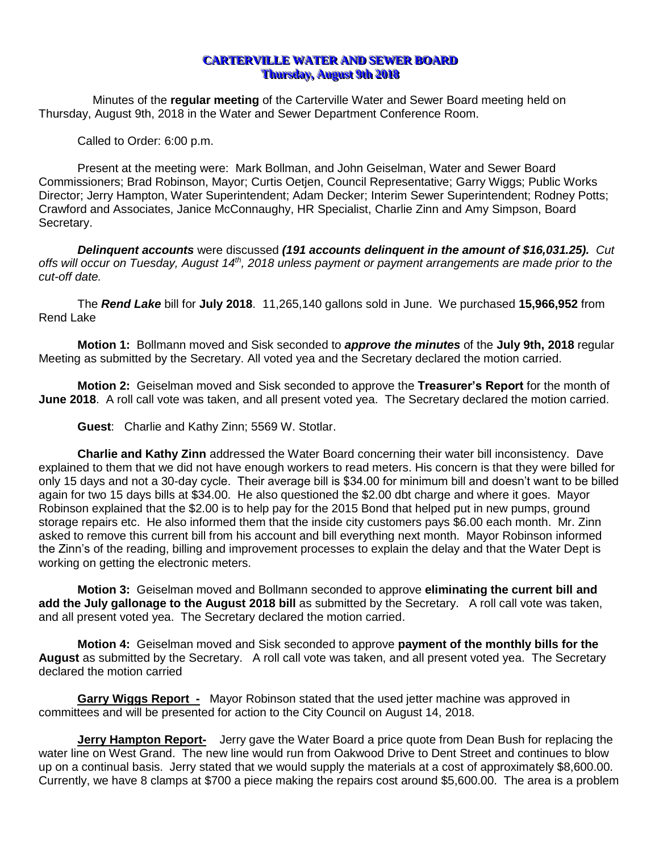## **CARTERVILLE WATER AND SEWER BOARD Thursday, August 9th 2018**

Minutes of the **regular meeting** of the Carterville Water and Sewer Board meeting held on Thursday, August 9th, 2018 in the Water and Sewer Department Conference Room.

Called to Order: 6:00 p.m.

Present at the meeting were: Mark Bollman, and John Geiselman, Water and Sewer Board Commissioners; Brad Robinson, Mayor; Curtis Oetjen, Council Representative; Garry Wiggs; Public Works Director; Jerry Hampton, Water Superintendent; Adam Decker; Interim Sewer Superintendent; Rodney Potts; Crawford and Associates, Janice McConnaughy, HR Specialist, Charlie Zinn and Amy Simpson, Board Secretary.

*Delinquent accounts* were discussed *(191 accounts delinquent in the amount of \$16,031.25). Cut offs will occur on Tuesday, August 14th , 2018 unless payment or payment arrangements are made prior to the cut-off date.*

The *Rend Lake* bill for **July 2018**. 11,265,140 gallons sold in June. We purchased **15,966,952** from Rend Lake

**Motion 1:** Bollmann moved and Sisk seconded to *approve the minutes* of the **July 9th, 2018** regular Meeting as submitted by the Secretary. All voted yea and the Secretary declared the motion carried.

**Motion 2:** Geiselman moved and Sisk seconded to approve the **Treasurer's Report** for the month of **June 2018**. A roll call vote was taken, and all present voted yea. The Secretary declared the motion carried.

**Guest**: Charlie and Kathy Zinn; 5569 W. Stotlar.

**Charlie and Kathy Zinn** addressed the Water Board concerning their water bill inconsistency. Dave explained to them that we did not have enough workers to read meters. His concern is that they were billed for only 15 days and not a 30-day cycle. Their average bill is \$34.00 for minimum bill and doesn't want to be billed again for two 15 days bills at \$34.00. He also questioned the \$2.00 dbt charge and where it goes. Mayor Robinson explained that the \$2.00 is to help pay for the 2015 Bond that helped put in new pumps, ground storage repairs etc. He also informed them that the inside city customers pays \$6.00 each month. Mr. Zinn asked to remove this current bill from his account and bill everything next month. Mayor Robinson informed the Zinn's of the reading, billing and improvement processes to explain the delay and that the Water Dept is working on getting the electronic meters.

**Motion 3:** Geiselman moved and Bollmann seconded to approve **eliminating the current bill and add the July gallonage to the August 2018 bill** as submitted by the Secretary. A roll call vote was taken, and all present voted yea. The Secretary declared the motion carried.

**Motion 4:** Geiselman moved and Sisk seconded to approve **payment of the monthly bills for the August** as submitted by the Secretary. A roll call vote was taken, and all present voted yea. The Secretary declared the motion carried

**Garry Wiggs Report -** Mayor Robinson stated that the used jetter machine was approved in committees and will be presented for action to the City Council on August 14, 2018.

**Jerry Hampton Report-** Jerry gave the Water Board a price quote from Dean Bush for replacing the water line on West Grand. The new line would run from Oakwood Drive to Dent Street and continues to blow up on a continual basis. Jerry stated that we would supply the materials at a cost of approximately \$8,600.00. Currently, we have 8 clamps at \$700 a piece making the repairs cost around \$5,600.00. The area is a problem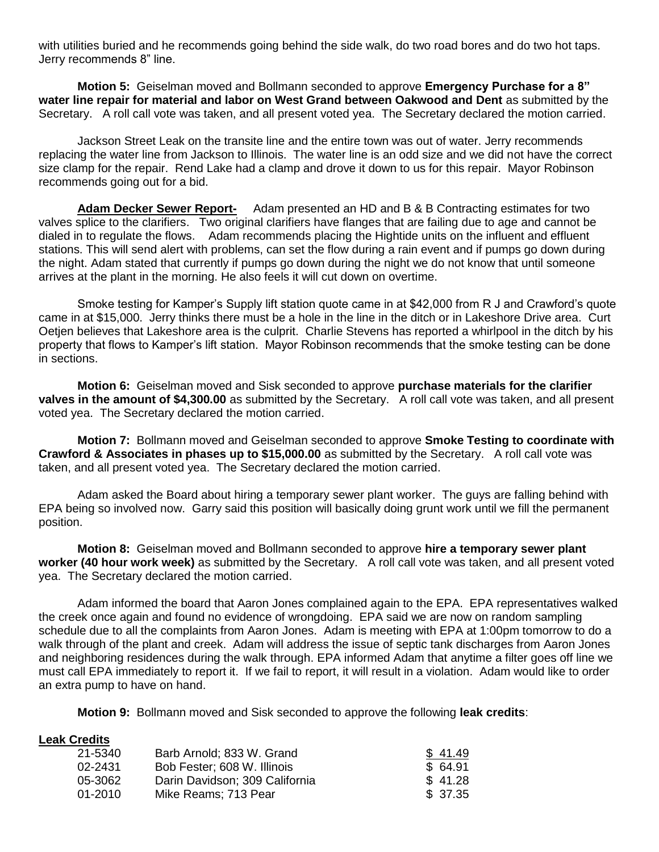with utilities buried and he recommends going behind the side walk, do two road bores and do two hot taps. Jerry recommends 8" line.

**Motion 5:** Geiselman moved and Bollmann seconded to approve **Emergency Purchase for a 8" water line repair for material and labor on West Grand between Oakwood and Dent** as submitted by the Secretary. A roll call vote was taken, and all present voted yea. The Secretary declared the motion carried.

Jackson Street Leak on the transite line and the entire town was out of water. Jerry recommends replacing the water line from Jackson to Illinois. The water line is an odd size and we did not have the correct size clamp for the repair. Rend Lake had a clamp and drove it down to us for this repair. Mayor Robinson recommends going out for a bid.

**Adam Decker Sewer Report-** Adam presented an HD and B & B Contracting estimates for two valves splice to the clarifiers. Two original clarifiers have flanges that are failing due to age and cannot be dialed in to regulate the flows. Adam recommends placing the Hightide units on the influent and effluent stations. This will send alert with problems, can set the flow during a rain event and if pumps go down during the night. Adam stated that currently if pumps go down during the night we do not know that until someone arrives at the plant in the morning. He also feels it will cut down on overtime.

Smoke testing for Kamper's Supply lift station quote came in at \$42,000 from R J and Crawford's quote came in at \$15,000. Jerry thinks there must be a hole in the line in the ditch or in Lakeshore Drive area. Curt Oetjen believes that Lakeshore area is the culprit. Charlie Stevens has reported a whirlpool in the ditch by his property that flows to Kamper's lift station. Mayor Robinson recommends that the smoke testing can be done in sections.

**Motion 6:** Geiselman moved and Sisk seconded to approve **purchase materials for the clarifier valves in the amount of \$4,300.00** as submitted by the Secretary. A roll call vote was taken, and all present voted yea. The Secretary declared the motion carried.

**Motion 7:** Bollmann moved and Geiselman seconded to approve **Smoke Testing to coordinate with Crawford & Associates in phases up to \$15,000.00** as submitted by the Secretary. A roll call vote was taken, and all present voted yea. The Secretary declared the motion carried.

Adam asked the Board about hiring a temporary sewer plant worker. The guys are falling behind with EPA being so involved now. Garry said this position will basically doing grunt work until we fill the permanent position.

**Motion 8:** Geiselman moved and Bollmann seconded to approve **hire a temporary sewer plant worker (40 hour work week)** as submitted by the Secretary. A roll call vote was taken, and all present voted yea. The Secretary declared the motion carried.

Adam informed the board that Aaron Jones complained again to the EPA. EPA representatives walked the creek once again and found no evidence of wrongdoing. EPA said we are now on random sampling schedule due to all the complaints from Aaron Jones. Adam is meeting with EPA at 1:00pm tomorrow to do a walk through of the plant and creek. Adam will address the issue of septic tank discharges from Aaron Jones and neighboring residences during the walk through. EPA informed Adam that anytime a filter goes off line we must call EPA immediately to report it. If we fail to report, it will result in a violation. Adam would like to order an extra pump to have on hand.

**Motion 9:** Bollmann moved and Sisk seconded to approve the following **leak credits**:

## **Leak Credits**

| 21-5340     | Barb Arnold: 833 W. Grand      | \$41.49  |
|-------------|--------------------------------|----------|
| 02-2431     | Bob Fester; 608 W. Illinois    | \$64.91  |
| 05-3062     | Darin Davidson; 309 California | \$41.28  |
| $01 - 2010$ | Mike Reams: 713 Pear           | \$ 37.35 |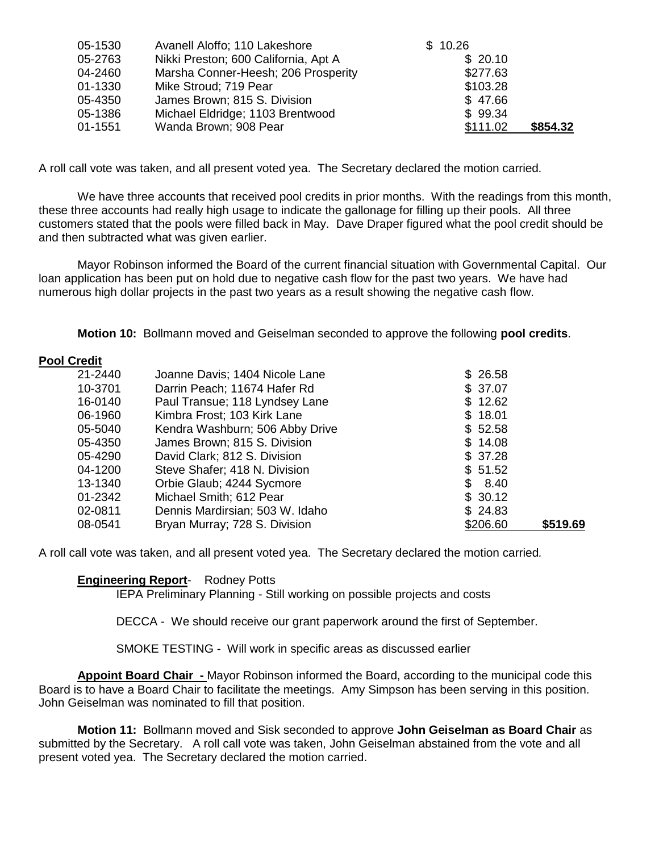| 05-1530 | Avanell Aloffo; 110 Lakeshore        | \$10.26  |          |
|---------|--------------------------------------|----------|----------|
| 05-2763 | Nikki Preston; 600 California, Apt A | \$20.10  |          |
| 04-2460 | Marsha Conner-Heesh; 206 Prosperity  | \$277.63 |          |
| 01-1330 | Mike Stroud; 719 Pear                | \$103.28 |          |
| 05-4350 | James Brown; 815 S. Division         | \$47.66  |          |
| 05-1386 | Michael Eldridge; 1103 Brentwood     | \$99.34  |          |
| 01-1551 | Wanda Brown; 908 Pear                | \$111.02 | \$854.32 |

A roll call vote was taken, and all present voted yea. The Secretary declared the motion carried*.*

We have three accounts that received pool credits in prior months. With the readings from this month, these three accounts had really high usage to indicate the gallonage for filling up their pools. All three customers stated that the pools were filled back in May. Dave Draper figured what the pool credit should be and then subtracted what was given earlier.

Mayor Robinson informed the Board of the current financial situation with Governmental Capital. Our loan application has been put on hold due to negative cash flow for the past two years. We have had numerous high dollar projects in the past two years as a result showing the negative cash flow.

**Motion 10:** Bollmann moved and Geiselman seconded to approve the following **pool credits**.

## **Pool Credit**

| 21-2440 | Joanne Davis; 1404 Nicole Lane  | \$26.58  |          |
|---------|---------------------------------|----------|----------|
| 10-3701 | Darrin Peach; 11674 Hafer Rd    | \$37.07  |          |
| 16-0140 | Paul Transue; 118 Lyndsey Lane  | \$12.62  |          |
| 06-1960 | Kimbra Frost; 103 Kirk Lane     | \$18.01  |          |
| 05-5040 | Kendra Washburn; 506 Abby Drive | \$52.58  |          |
| 05-4350 | James Brown; 815 S. Division    | \$14.08  |          |
| 05-4290 | David Clark; 812 S. Division    | \$37.28  |          |
| 04-1200 | Steve Shafer; 418 N. Division   | \$51.52  |          |
| 13-1340 | Orbie Glaub; 4244 Sycmore       | \$8.40   |          |
| 01-2342 | Michael Smith; 612 Pear         | \$30.12  |          |
| 02-0811 | Dennis Mardirsian; 503 W. Idaho | \$24.83  |          |
| 08-0541 | Bryan Murray; 728 S. Division   | \$206.60 | \$519.69 |

A roll call vote was taken, and all present voted yea. The Secretary declared the motion carried*.*

## **Engineering Report**- Rodney Potts

IEPA Preliminary Planning - Still working on possible projects and costs

DECCA - We should receive our grant paperwork around the first of September.

SMOKE TESTING - Will work in specific areas as discussed earlier

**Appoint Board Chair -** Mayor Robinson informed the Board, according to the municipal code this Board is to have a Board Chair to facilitate the meetings. Amy Simpson has been serving in this position. John Geiselman was nominated to fill that position.

**Motion 11:** Bollmann moved and Sisk seconded to approve **John Geiselman as Board Chair** as submitted by the Secretary. A roll call vote was taken, John Geiselman abstained from the vote and all present voted yea. The Secretary declared the motion carried.